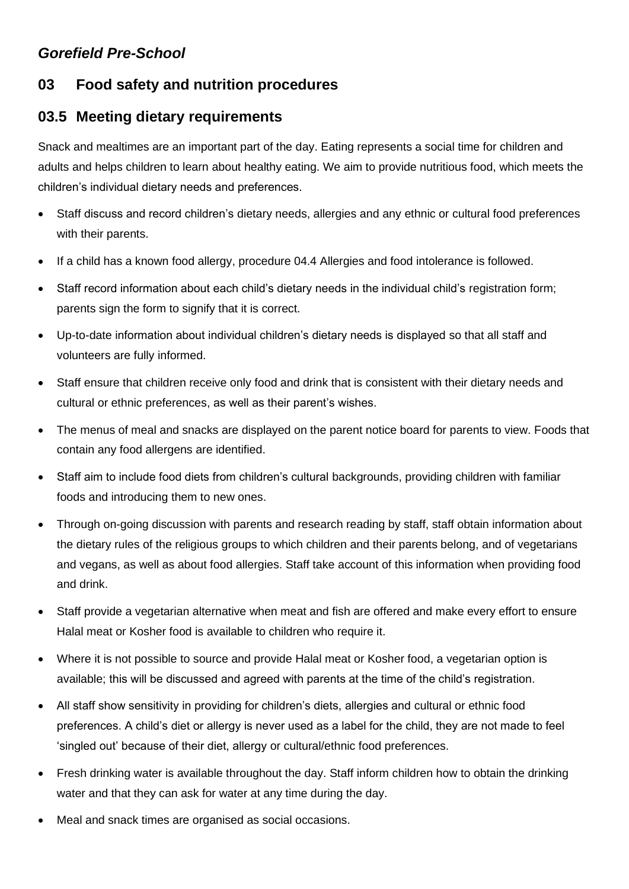## *Gorefield Pre-School*

## **03 Food safety and nutrition procedures**

## **03.5 Meeting dietary requirements**

Snack and mealtimes are an important part of the day. Eating represents a social time for children and adults and helps children to learn about healthy eating. We aim to provide nutritious food, which meets the children's individual dietary needs and preferences.

- Staff discuss and record children's dietary needs, allergies and any ethnic or cultural food preferences with their parents.
- If a child has a known food allergy, procedure 04.4 Allergies and food intolerance is followed.
- Staff record information about each child's dietary needs in the individual child's registration form; parents sign the form to signify that it is correct.
- Up-to-date information about individual children's dietary needs is displayed so that all staff and volunteers are fully informed.
- Staff ensure that children receive only food and drink that is consistent with their dietary needs and cultural or ethnic preferences, as well as their parent's wishes.
- The menus of meal and snacks are displayed on the parent notice board for parents to view. Foods that contain any food allergens are identified.
- Staff aim to include food diets from children's cultural backgrounds, providing children with familiar foods and introducing them to new ones.
- Through on-going discussion with parents and research reading by staff, staff obtain information about the dietary rules of the religious groups to which children and their parents belong, and of vegetarians and vegans, as well as about food allergies. Staff take account of this information when providing food and drink.
- Staff provide a vegetarian alternative when meat and fish are offered and make every effort to ensure Halal meat or Kosher food is available to children who require it.
- Where it is not possible to source and provide Halal meat or Kosher food, a vegetarian option is available; this will be discussed and agreed with parents at the time of the child's registration.
- All staff show sensitivity in providing for children's diets, allergies and cultural or ethnic food preferences. A child's diet or allergy is never used as a label for the child, they are not made to feel 'singled out' because of their diet, allergy or cultural/ethnic food preferences.
- Fresh drinking water is available throughout the day. Staff inform children how to obtain the drinking water and that they can ask for water at any time during the day.
- Meal and snack times are organised as social occasions.